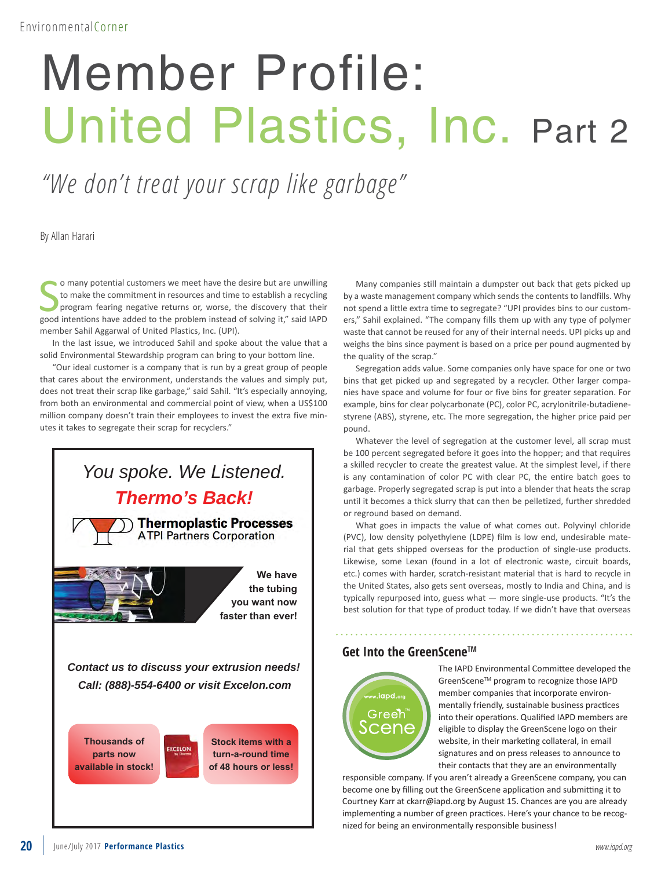## Member Profile: United Plastics, Inc. Part 2

*"We don't treat your scrap like garbage"*

By Allan Harari

**Solution** o many potential customers we meet have the desire but are unwilling to make the commitment in resources and time to establish a recycling program fearing negative returns or, worse, the discovery that their goo o many potential customers we meet have the desire but are unwilling to make the commitment in resources and time to establish a recycling program fearing negative returns or, worse, the discovery that their member Sahil Aggarwal of United Plastics, Inc. (UPI).

In the last issue, we introduced Sahil and spoke about the value that a solid Environmental Stewardship program can bring to your bottom line.

"Our ideal customer is a company that is run by a great group of people that cares about the environment, understands the values and simply put, does not treat their scrap like garbage," said Sahil. "It's especially annoying, from both an environmental and commercial point of view, when a US\$100 million company doesn't train their employees to invest the extra five minutes it takes to segregate their scrap for recyclers."



Many companies still maintain a dumpster out back that gets picked up by a waste management company which sends the contents to landfills. Why not spend a little extra time to segregate? "UPI provides bins to our customers," Sahil explained. "The company fills them up with any type of polymer waste that cannot be reused for any of their internal needs. UPI picks up and weighs the bins since payment is based on a price per pound augmented by the quality of the scrap."

Segregation adds value. Some companies only have space for one or two bins that get picked up and segregated by a recycler. Other larger companies have space and volume for four or five bins for greater separation. For example, bins for clear polycarbonate (PC), color PC, acrylonitrile-butadienestyrene (ABS), styrene, etc. The more segregation, the higher price paid per pound.

Whatever the level of segregation at the customer level, all scrap must be 100 percent segregated before it goes into the hopper; and that requires a skilled recycler to create the greatest value. At the simplest level, if there is any contamination of color PC with clear PC, the entire batch goes to garbage. Properly segregated scrap is put into a blender that heats the scrap until it becomes a thick slurry that can then be pelletized, further shredded or reground based on demand.

What goes in impacts the value of what comes out. Polyvinyl chloride (PVC), low density polyethylene (LDPE) film is low end, undesirable material that gets shipped overseas for the production of single-use products. Likewise, some Lexan (found in a lot of electronic waste, circuit boards, etc.) comes with harder, scratch-resistant material that is hard to recycle in the United States, also gets sent overseas, mostly to India and China, and is typically repurposed into, guess what — more single-use products. "It's the best solution for that type of product today. If we didn't have that overseas

## **Get Into the GreenSceneTM**



The IAPD Environmental Committee developed the GreenScene™ program to recognize those IAPD member companies that incorporate environmentally friendly, sustainable business practices into their operations. Qualified IAPD members are eligible to display the GreenScene logo on their website, in their marketing collateral, in email signatures and on press releases to announce to their contacts that they are an environmentally

responsible company. If you aren't already a GreenScene company, you can become one by filling out the GreenScene application and submitting it to Courtney Karr at ckarr@iapd.org by August 15. Chances are you are already implementing a number of green practices. Here's your chance to be recognized for being an environmentally responsible business!

**available in stock!**